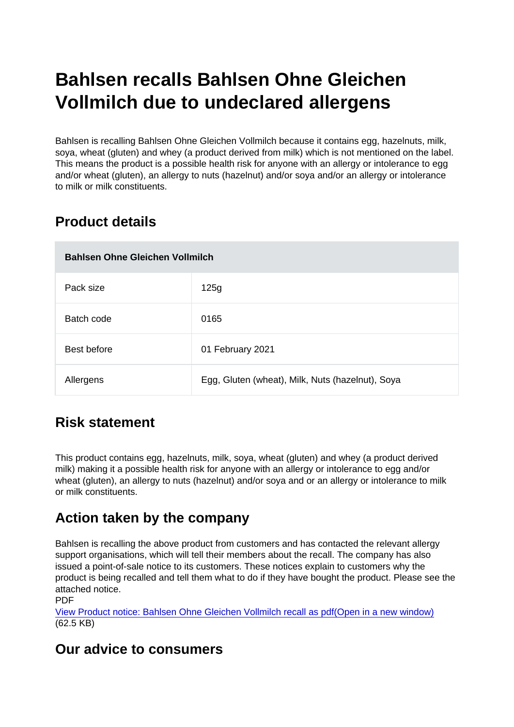# Bahlsen recalls Bahlsen Ohne Gleichen Vollmilch due to undeclared allergens

Bahlsen is recalling Bahlsen Ohne Gleichen Vollmilch because it contains egg, hazelnuts, milk, soya, wheat (gluten) and whey (a product derived from milk) which is not mentioned on the label. This means the product is a possible health risk for anyone with an allergy or intolerance to egg and/or wheat (gluten), an allergy to nuts (hazelnut) and/or soya and/or an allergy or intolerance to milk or milk constituents.

## Product details

| Bahlsen Ohne Gleichen Vollmilch |                                                  |
|---------------------------------|--------------------------------------------------|
| Pack size                       | 125g                                             |
| Batch code                      | 0165                                             |
| Best before                     | 01 February 2021                                 |
| Allergens                       | Egg, Gluten (wheat), Milk, Nuts (hazelnut), Soya |

### Risk statement

This product contains egg, hazelnuts, milk, soya, wheat (gluten) and whey (a product derived milk) making it a possible health risk for anyone with an allergy or intolerance to egg and/or wheat (gluten), an allergy to nuts (hazelnut) and/or soya and or an allergy or intolerance to milk or milk constituents.

### Action taken by the company

Bahlsen is recalling the above product from customers and has contacted the relevant allergy support organisations, which will tell their members about the recall. The company has also issued a point-of-sale notice to its customers. These notices explain to customers why the product is being recalled and tell them what to do if they have bought the product. Please see the attached notice.

PDF [View Product notice: Bahlsen Ohne Gleichen Vollmilch recall as pdf\(Open in a new window\)](https://s3-eu-west-1.amazonaws.com/fsa-alerts-files/production/FSA-AA-36-2020/product-noticefsaaa362020.pdf) (62.5 KB)

### Our advice to consumers